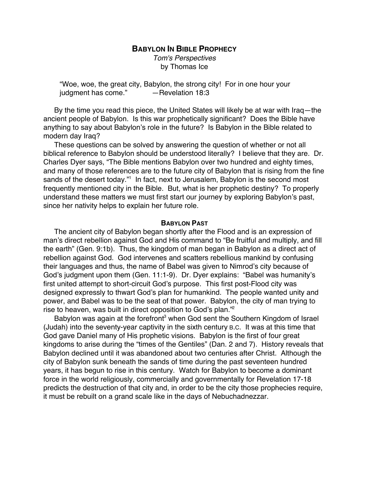# **BABYLON IN BIBLE PROPHECY**

Tom's Perspectives by Thomas Ice

"Woe, woe, the great city, Babylon, the strong city! For in one hour your judgment has come." —Revelation 18:3

By the time you read this piece, the United States will likely be at war with Iraq—the ancient people of Babylon. Is this war prophetically significant? Does the Bible have anything to say about Babylon's role in the future? Is Babylon in the Bible related to modern day Iraq?

These questions can be solved by answering the question of whether or not all biblical reference to Babylon should be understood literally? I believe that they are. Dr. Charles Dyer says, "The Bible mentions Babylon over two hundred and eighty times, and many of those references are to the future city of Babylon that is rising from the fine sands of the desert today."<sup>1</sup> In fact, next to Jerusalem, Babylon is the second most frequently mentioned city in the Bible. But, what is her prophetic destiny? To properly understand these matters we must first start our journey by exploring Babylon's past, since her nativity helps to explain her future role.

#### **BABYLON PAST**

The ancient city of Babylon began shortly after the Flood and is an expression of man's direct rebellion against God and His command to "Be fruitful and multiply, and fill the earth" (Gen. 9:1b). Thus, the kingdom of man began in Babylon as a direct act of rebellion against God. God intervenes and scatters rebellious mankind by confusing their languages and thus, the name of Babel was given to Nimrod's city because of God's judgment upon them (Gen. 11:1-9). Dr. Dyer explains: "Babel was humanity's first united attempt to short-circuit God's purpose. This first post-Flood city was designed expressly to thwart God's plan for humankind. The people wanted unity and power, and Babel was to be the seat of that power. Babylon, the city of man trying to rise to heaven, was built in direct opposition to God's plan."2

Babylon was again at the forefront<sup>3</sup> when God sent the Southern Kingdom of Israel (Judah) into the seventy-year captivity in the sixth century B.C. It was at this time that God gave Daniel many of His prophetic visions. Babylon is the first of four great kingdoms to arise during the "times of the Gentiles" (Dan. 2 and 7). History reveals that Babylon declined until it was abandoned about two centuries after Christ. Although the city of Babylon sunk beneath the sands of time during the past seventeen hundred years, it has begun to rise in this century. Watch for Babylon to become a dominant force in the world religiously, commercially and governmentally for Revelation 17-18 predicts the destruction of that city and, in order to be the city those prophecies require, it must be rebuilt on a grand scale like in the days of Nebuchadnezzar.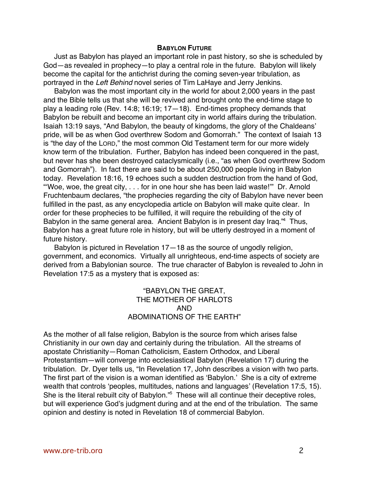### **BABYLON FUTURE**

Just as Babylon has played an important role in past history, so she is scheduled by God—as revealed in prophecy—to play a central role in the future. Babylon will likely become the capital for the antichrist during the coming seven-year tribulation, as portrayed in the Left Behind novel series of Tim LaHaye and Jerry Jenkins.

Babylon was the most important city in the world for about 2,000 years in the past and the Bible tells us that she will be revived and brought onto the end-time stage to play a leading role (Rev. 14:8; 16:19; 17—18). End-times prophecy demands that Babylon be rebuilt and become an important city in world affairs during the tribulation. Isaiah 13:19 says, "And Babylon, the beauty of kingdoms, the glory of the Chaldeans' pride, will be as when God overthrew Sodom and Gomorrah." The context of Isaiah 13 is "the day of the LORD," the most common Old Testament term for our more widely know term of the tribulation. Further, Babylon has indeed been conquered in the past, but never has she been destroyed cataclysmically (i.e., "as when God overthrew Sodom and Gomorrah"). In fact there are said to be about 250,000 people living in Babylon today. Revelation 18:16, 19 echoes such a sudden destruction from the hand of God, "'Woe, woe, the great city, . . . for in one hour she has been laid waste!'" Dr. Arnold Fruchtenbaum declares, "the prophecies regarding the city of Babylon have never been fulfilled in the past, as any encyclopedia article on Babylon will make quite clear. In order for these prophecies to be fulfilled, it will require the rebuilding of the city of Babylon in the same general area. Ancient Babylon is in present day Iraq."<sup>4</sup> Thus, Babylon has a great future role in history, but will be utterly destroyed in a moment of future history.

Babylon is pictured in Revelation 17—18 as the source of ungodly religion, government, and economics. Virtually all unrighteous, end-time aspects of society are derived from a Babylonian source. The true character of Babylon is revealed to John in Revelation 17:5 as a mystery that is exposed as:

# "BABYLON THE GREAT, THE MOTHER OF HARLOTS AND ABOMINATIONS OF THE EARTH"

As the mother of all false religion, Babylon is the source from which arises false Christianity in our own day and certainly during the tribulation. All the streams of apostate Christianity—Roman Catholicism, Eastern Orthodox, and Liberal Protestantism—will converge into ecclesiastical Babylon (Revelation 17) during the tribulation. Dr. Dyer tells us, "In Revelation 17, John describes a vision with two parts. The first part of the vision is a woman identified as 'Babylon.' She is a city of extreme wealth that controls 'peoples, multitudes, nations and languages' (Revelation 17:5, 15). She is the literal rebuilt city of Babylon."<sup>5</sup> These will all continue their deceptive roles, but will experience God's judgment during and at the end of the tribulation. The same opinion and destiny is noted in Revelation 18 of commercial Babylon.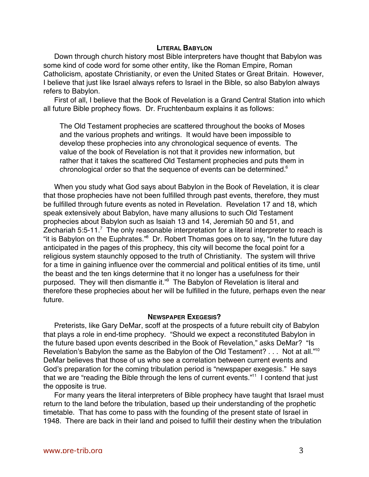## **LITERAL BABYLON**

Down through church history most Bible interpreters have thought that Babylon was some kind of code word for some other entity, like the Roman Empire, Roman Catholicism, apostate Christianity, or even the United States or Great Britain. However, I believe that just like Israel always refers to Israel in the Bible, so also Babylon always refers to Babylon.

First of all, I believe that the Book of Revelation is a Grand Central Station into which all future Bible prophecy flows. Dr. Fruchtenbaum explains it as follows:

The Old Testament prophecies are scattered throughout the books of Moses and the various prophets and writings. It would have been impossible to develop these prophecies into any chronological sequence of events. The value of the book of Revelation is not that it provides new information, but rather that it takes the scattered Old Testament prophecies and puts them in chronological order so that the sequence of events can be determined.<sup>6</sup>

When you study what God says about Babylon in the Book of Revelation, it is clear that those prophecies have not been fulfilled through past events, therefore, they must be fulfilled through future events as noted in Revelation. Revelation 17 and 18, which speak extensively about Babylon, have many allusions to such Old Testament prophecies about Babylon such as Isaiah 13 and 14, Jeremiah 50 and 51, and Zechariah 5:5-11.<sup>7</sup> The only reasonable interpretation for a literal interpreter to reach is "it is Babylon on the Euphrates."<sup>8</sup> Dr. Robert Thomas goes on to say, "In the future day anticipated in the pages of this prophecy, this city will become the focal point for a religious system staunchly opposed to the truth of Christianity. The system will thrive for a time in gaining influence over the commercial and political entities of its time, until the beast and the ten kings determine that it no longer has a usefulness for their purposed. They will then dismantle it."<sup>9</sup> The Babylon of Revelation is literal and therefore these prophecies about her will be fulfilled in the future, perhaps even the near future.

### **NEWSPAPER EXEGESIS?**

Preterists, like Gary DeMar, scoff at the prospects of a future rebuilt city of Babylon that plays a role in end-time prophecy. "Should we expect a reconstituted Babylon in the future based upon events described in the Book of Revelation," asks DeMar? "Is Revelation's Babylon the same as the Babylon of the Old Testament? . . . Not at all."<sup>10</sup> DeMar believes that those of us who see a correlation between current events and God's preparation for the coming tribulation period is "newspaper exegesis." He says that we are "reading the Bible through the lens of current events."<sup>11</sup> I contend that just the opposite is true.

For many years the literal interpreters of Bible prophecy have taught that Israel must return to the land before the tribulation, based up their understanding of the prophetic timetable. That has come to pass with the founding of the present state of Israel in 1948. There are back in their land and poised to fulfill their destiny when the tribulation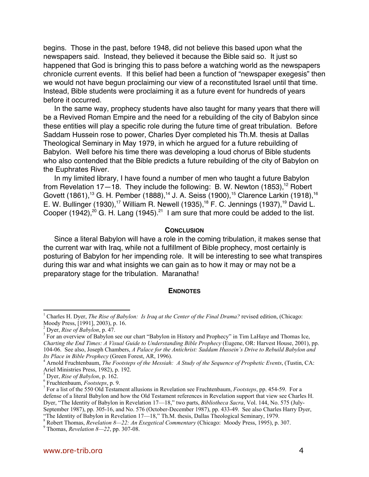begins. Those in the past, before 1948, did not believe this based upon what the newspapers said. Instead, they believed it because the Bible said so. It just so happened that God is bringing this to pass before a watching world as the newspapers chronicle current events. If this belief had been a function of "newspaper exegesis" then we would not have begun proclaiming our view of a reconstituted Israel until that time. Instead, Bible students were proclaiming it as a future event for hundreds of years before it occurred.

In the same way, prophecy students have also taught for many years that there will be a Revived Roman Empire and the need for a rebuilding of the city of Babylon since these entities will play a specific role during the future time of great tribulation. Before Saddam Hussein rose to power, Charles Dyer completed his Th.M. thesis at Dallas Theological Seminary in May 1979, in which he argued for a future rebuilding of Babylon. Well before his time there was developing a loud chorus of Bible students who also contended that the Bible predicts a future rebuilding of the city of Babylon on the Euphrates River.

In my limited library, I have found a number of men who taught a future Babylon from Revelation 17 $-$ 18. They include the following: B. W. Newton (1853),<sup>12</sup> Robert Govett (1861),<sup>13</sup> G. H. Pember (1888),<sup>14</sup> J. A. Seiss (1900),<sup>15</sup> Clarence Larkin (1918),<sup>16</sup> E. W. Bullinger (1930),<sup>17</sup> William R. Newell (1935),<sup>18</sup> F. C. Jennings (1937),<sup>19</sup> David L. Cooper (1942),<sup>20</sup> G. H. Lang (1945).<sup>21</sup> I am sure that more could be added to the list.

### **CONCLUSION**

Since a literal Babylon will have a role in the coming tribulation, it makes sense that the current war with Iraq, while not a fulfillment of Bible prophecy, most certainly is posturing of Babylon for her impending role. It will be interesting to see what transpires during this war and what insights we can gain as to how it may or may not be a preparatory stage for the tribulation. Maranatha!

#### **ENDNOTES**

<sup>&</sup>lt;sup>1</sup> Charles H. Dyer, *The Rise of Babylon: Is Iraq at the Center of the Final Drama?* revised edition, (Chicago: Moody Press, [1991], 2003), p. 16.

 $\frac{2}{3}$  Dyer, *Rise of Babylon*, p. 47.

<sup>&</sup>lt;sup>3</sup> For an overview of Babylon see our chart "Babylon in History and Prophecy" in Tim LaHaye and Thomas Ice, *Charting the End Times: A Visual Guide to Understanding Bible Prophecy* (Eugene, OR: Harvest House, 2001), pp. 104-06. See also, Joseph Chambers, *A Palace for the Antichrist: Saddam Hussein's Drive to Rebuild Babylon and Its Place in Bible Prophecy* (Green Forest, AR, 1996).

Arnold Fruchtenbaum, *The Footsteps of the Messiah: A Study of the Sequence of Prophetic Events*, (Tustin, CA: Ariel Ministries Press, 1982), p. 192.

 $^{5}$  Dyer, *Rise of Babylon*, p. 162.

Fruchtenbaum, *Footsteps*, p. 9. <sup>7</sup>

For a list of the 550 Old Testament allusions in Revelation see Fruchtenbaum, *Footsteps*, pp. 454-59. For a defense of a literal Babylon and how the Old Testament references in Revelation support that view see Charles H. Dyer, "The Identity of Babylon in Revelation 17—18," two parts, *Bibliotheca Sacra*, Vol. 144, No. 575 (July-September 1987), pp. 305-16, and No. 576 (October-December 1987), pp. 433-49. See also Charles Harry Dyer, "The Identity of Babylon in Revelation 17—18," Th.M. thesis, Dallas Theological Seminary, 1979.

 $^8$  Robert Thomas, *Revelation 8—22: An Exegetical Commentary* (Chicago: Moody Press, 1995), p. 307.

Thomas, *Revelation 8—22*, pp. 307-08.